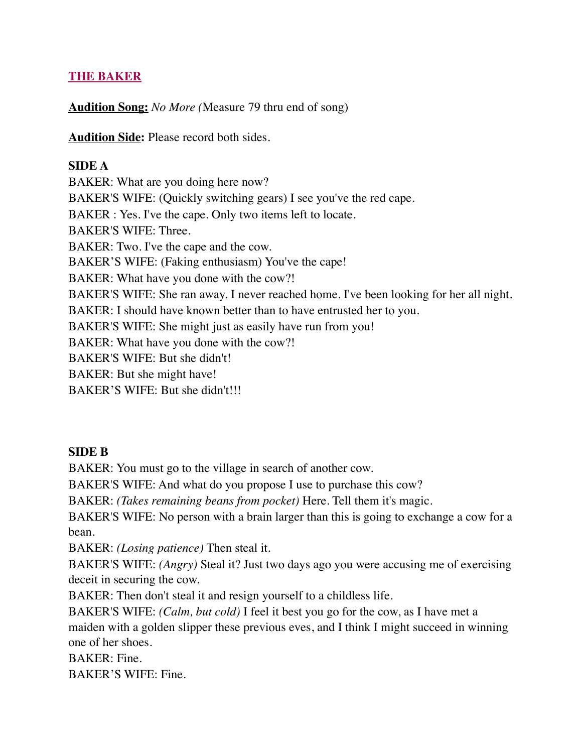## **THE BAKER**

**Audition Song:** *No More (*Measure 79 thru end of song)

**Audition Side:** Please record both sides.

## **SIDE A**

BAKER: What are you doing here now? BAKER'S WIFE: (Quickly switching gears) I see you've the red cape. BAKER : Yes. I've the cape. Only two items left to locate. BAKER'S WIFE: Three. BAKER: Two. I've the cape and the cow. BAKER'S WIFE: (Faking enthusiasm) You've the cape! BAKER: What have you done with the cow?! BAKER'S WIFE: She ran away. I never reached home. I've been looking for her all night. BAKER: I should have known better than to have entrusted her to you. BAKER'S WIFE: She might just as easily have run from you! BAKER: What have you done with the cow?! BAKER'S WIFE: But she didn't! BAKER: But she might have! BAKER'S WIFE: But she didn't!!!

#### **SIDE B**

BAKER: You must go to the village in search of another cow.

BAKER'S WIFE: And what do you propose I use to purchase this cow?

BAKER: *(Takes remaining beans from pocket)* Here. Tell them it's magic.

BAKER'S WIFE: No person with a brain larger than this is going to exchange a cow for a bean.

BAKER: *(Losing patience)* Then steal it.

BAKER'S WIFE: *(Angry)* Steal it? Just two days ago you were accusing me of exercising deceit in securing the cow.

BAKER: Then don't steal it and resign yourself to a childless life.

BAKER'S WIFE: *(Calm, but cold)* I feel it best you go for the cow, as I have met a maiden with a golden slipper these previous eves, and I think I might succeed in winning one of her shoes.

BAKER: Fine.

BAKER'S WIFE: Fine.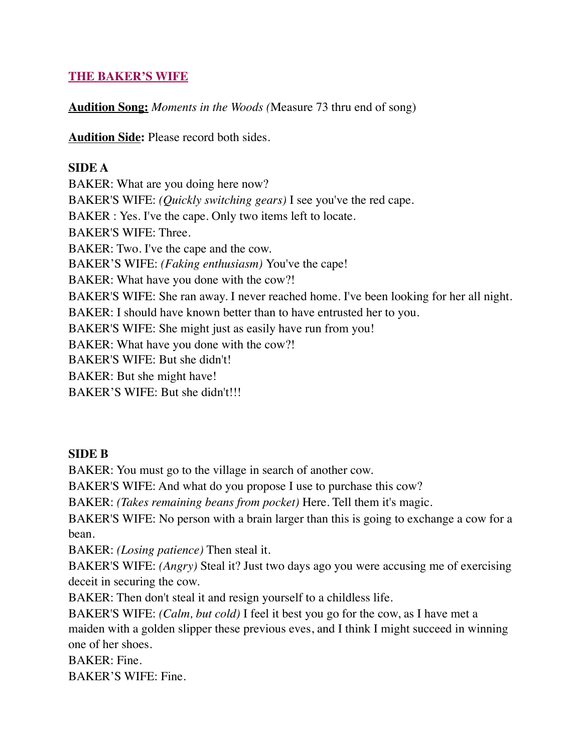## **THE BAKER'S WIFE**

**Audition Song:** *Moments in the Woods (*Measure 73 thru end of song)

**Audition Side:** Please record both sides.

## **SIDE A**

BAKER: What are you doing here now? BAKER'S WIFE: *(Quickly switching gears)* I see you've the red cape. BAKER : Yes. I've the cape. Only two items left to locate. BAKER'S WIFE: Three. BAKER: Two. I've the cape and the cow. BAKER'S WIFE: *(Faking enthusiasm)* You've the cape! BAKER: What have you done with the cow?! BAKER'S WIFE: She ran away. I never reached home. I've been looking for her all night. BAKER: I should have known better than to have entrusted her to you. BAKER'S WIFE: She might just as easily have run from you! BAKER: What have you done with the cow?! BAKER'S WIFE: But she didn't! BAKER: But she might have! BAKER'S WIFE: But she didn't!!!

## **SIDE B**

BAKER: You must go to the village in search of another cow.

BAKER'S WIFE: And what do you propose I use to purchase this cow?

BAKER: *(Takes remaining beans from pocket)* Here. Tell them it's magic.

BAKER'S WIFE: No person with a brain larger than this is going to exchange a cow for a bean.

BAKER: *(Losing patience)* Then steal it.

BAKER'S WIFE: *(Angry)* Steal it? Just two days ago you were accusing me of exercising deceit in securing the cow.

BAKER: Then don't steal it and resign yourself to a childless life.

BAKER'S WIFE: *(Calm, but cold)* I feel it best you go for the cow, as I have met a maiden with a golden slipper these previous eves, and I think I might succeed in winning one of her shoes.

BAKER: Fine.

BAKER'S WIFE: Fine.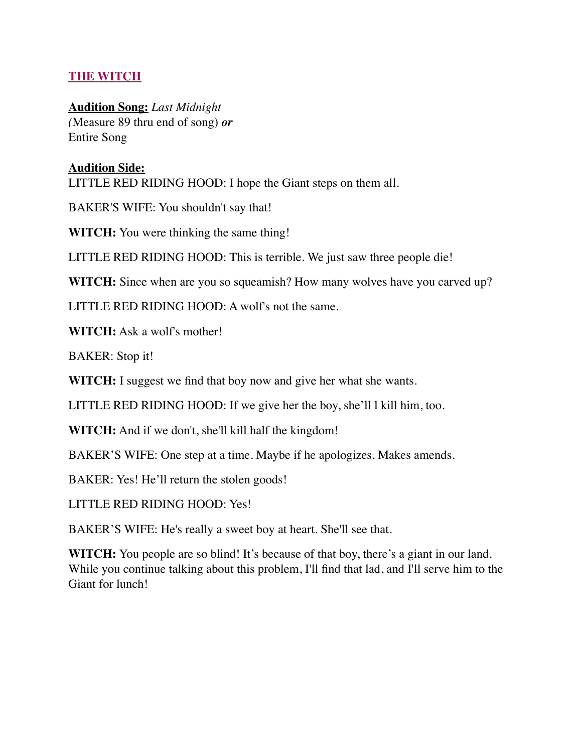## **THE WITCH**

**Audition Song:** *Last Midnight (*Measure 89 thru end of song) *or* Entire Song

## **Audition Side:**

LITTLE RED RIDING HOOD: I hope the Giant steps on them all.

BAKER'S WIFE: You shouldn't say that!

**WITCH:** You were thinking the same thing!

LITTLE RED RIDING HOOD: This is terrible. We just saw three people die!

**WITCH:** Since when are you so squeamish? How many wolves have you carved up?

LITTLE RED RIDING HOOD: A wolf's not the same.

**WITCH:** Ask a wolf's mother!

BAKER: Stop it!

**WITCH:** I suggest we find that boy now and give her what she wants.

LITTLE RED RIDING HOOD: If we give her the boy, she'll l kill him, too.

**WITCH:** And if we don't, she'll kill half the kingdom!

BAKER'S WIFE: One step at a time. Maybe if he apologizes. Makes amends.

BAKER: Yes! He'll return the stolen goods!

LITTLE RED RIDING HOOD: Yes!

BAKER'S WIFE: He's really a sweet boy at heart. She'll see that.

**WITCH:** You people are so blind! It's because of that boy, there's a giant in our land. While you continue talking about this problem, I'll find that lad, and I'll serve him to the Giant for lunch!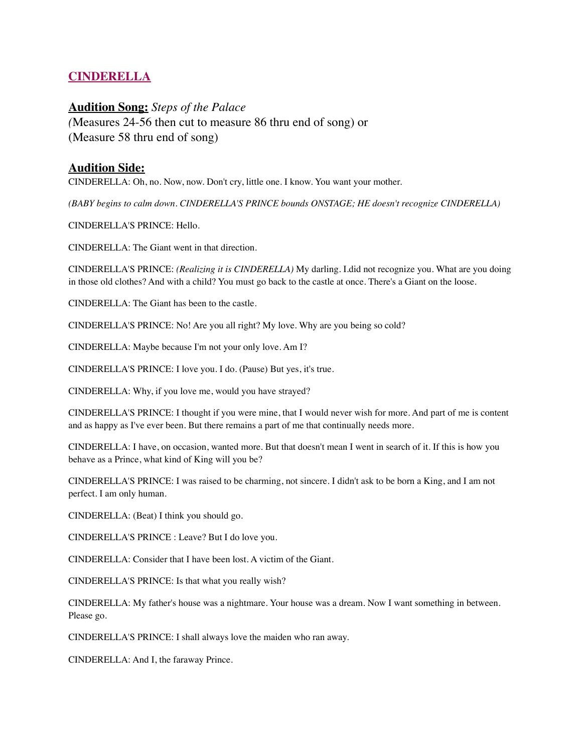## **CINDERELLA**

#### **Audition Song:** *Steps of the Palace*

*(*Measures 24-56 then cut to measure 86 thru end of song) or (Measure 58 thru end of song)

#### **Audition Side:**

CINDERELLA: Oh, no. Now, now. Don't cry, little one. I know. You want your mother.

*(BABY begins to calm down. CINDERELLA'S PRINCE bounds ONSTAGE; HE doesn't recognize CINDERELLA)*

CINDERELLA'S PRINCE: Hello.

CINDERELLA: The Giant went in that direction.

CINDERELLA'S PRINCE: *(Realizing it is CINDERELLA)* My darling. I.did not recognize you. What are you doing in those old clothes? And with a child? You must go back to the castle at once. There's a Giant on the loose.

CINDERELLA: The Giant has been to the castle.

CINDERELLA'S PRINCE: No! Are you all right? My love. Why are you being so cold?

CINDERELLA: Maybe because I'm not your only love. Am I?

CINDERELLA'S PRINCE: I love you. I do. (Pause) But yes, it's true.

CINDERELLA: Why, if you love me, would you have strayed?

CINDERELLA'S PRINCE: I thought if you were mine, that I would never wish for more. And part of me is content and as happy as I've ever been. But there remains a part of me that continually needs more.

CINDERELLA: I have, on occasion, wanted more. But that doesn't mean I went in search of it. If this is how you behave as a Prince, what kind of King will you be?

CINDERELLA'S PRINCE: I was raised to be charming, not sincere. I didn't ask to be born a King, and I am not perfect. I am only human.

CINDERELLA: (Beat) I think you should go.

CINDERELLA'S PRINCE : Leave? But I do love you.

CINDERELLA: Consider that I have been lost. A victim of the Giant.

CINDERELLA'S PRINCE: Is that what you really wish?

CINDERELLA: My father's house was a nightmare. Your house was a dream. Now I want something in between. Please go.

CINDERELLA'S PRINCE: I shall always love the maiden who ran away.

CINDERELLA: And I, the faraway Prince.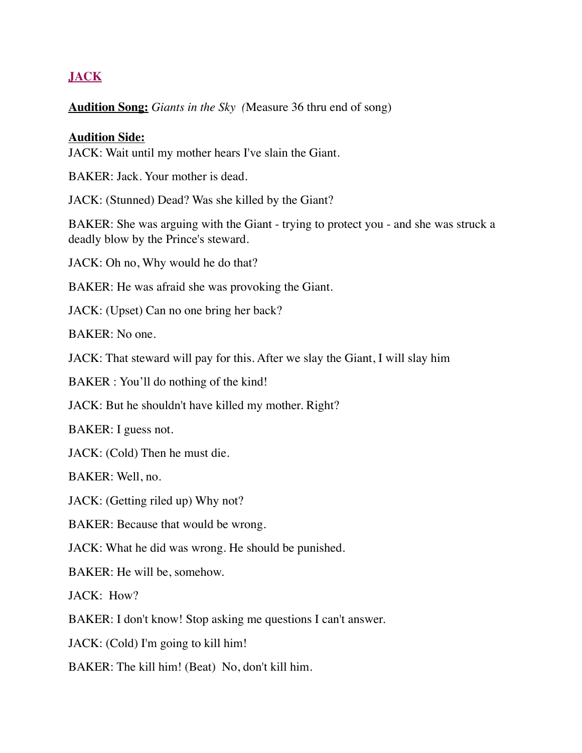# **JACK**

#### **Audition Song:** *Giants in the Sky (*Measure 36 thru end of song)

#### **Audition Side:**

JACK: Wait until my mother hears I've slain the Giant.

BAKER: Jack. Your mother is dead.

JACK: (Stunned) Dead? Was she killed by the Giant?

BAKER: She was arguing with the Giant - trying to protect you - and she was struck a deadly blow by the Prince's steward.

JACK: Oh no, Why would he do that?

BAKER: He was afraid she was provoking the Giant.

JACK: (Upset) Can no one bring her back?

BAKER: No one.

JACK: That steward will pay for this. After we slay the Giant, I will slay him

BAKER : You'll do nothing of the kind!

JACK: But he shouldn't have killed my mother. Right?

BAKER: I guess not.

JACK: (Cold) Then he must die.

BAKER: Well, no.

JACK: (Getting riled up) Why not?

BAKER: Because that would be wrong.

JACK: What he did was wrong. He should be punished.

BAKER: He will be, somehow.

JACK: How?

BAKER: I don't know! Stop asking me questions I can't answer.

JACK: (Cold) I'm going to kill him!

BAKER: The kill him! (Beat) No, don't kill him.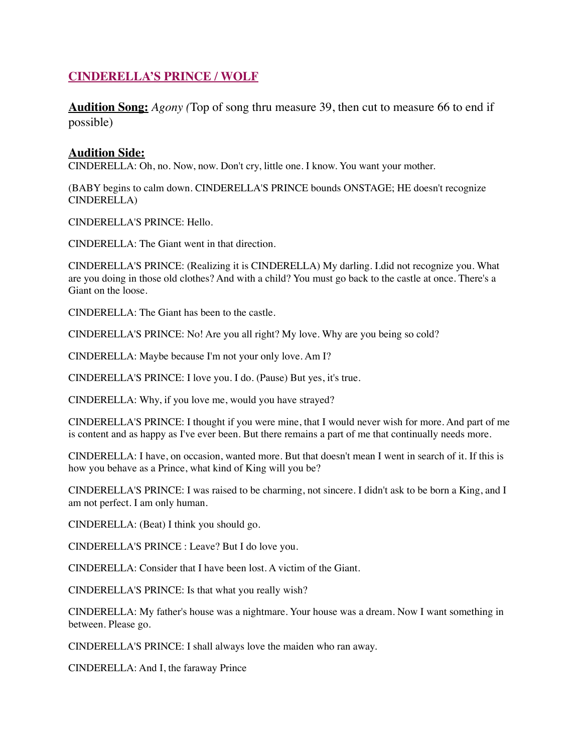## **CINDERELLA'S PRINCE / WOLF**

**Audition Song:** *Agony (*Top of song thru measure 39, then cut to measure 66 to end if possible)

#### **Audition Side:**

CINDERELLA: Oh, no. Now, now. Don't cry, little one. I know. You want your mother.

(BABY begins to calm down. CINDERELLA'S PRINCE bounds ONSTAGE; HE doesn't recognize CINDERELLA)

CINDERELLA'S PRINCE: Hello.

CINDERELLA: The Giant went in that direction.

CINDERELLA'S PRINCE: (Realizing it is CINDERELLA) My darling. I.did not recognize you. What are you doing in those old clothes? And with a child? You must go back to the castle at once. There's a Giant on the loose.

CINDERELLA: The Giant has been to the castle.

CINDERELLA'S PRINCE: No! Are you all right? My love. Why are you being so cold?

CINDERELLA: Maybe because I'm not your only love. Am I?

CINDERELLA'S PRINCE: I love you. I do. (Pause) But yes, it's true.

CINDERELLA: Why, if you love me, would you have strayed?

CINDERELLA'S PRINCE: I thought if you were mine, that I would never wish for more. And part of me is content and as happy as I've ever been. But there remains a part of me that continually needs more.

CINDERELLA: I have, on occasion, wanted more. But that doesn't mean I went in search of it. If this is how you behave as a Prince, what kind of King will you be?

CINDERELLA'S PRINCE: I was raised to be charming, not sincere. I didn't ask to be born a King, and I am not perfect. I am only human.

CINDERELLA: (Beat) I think you should go.

CINDERELLA'S PRINCE : Leave? But I do love you.

CINDERELLA: Consider that I have been lost. A victim of the Giant.

CINDERELLA'S PRINCE: Is that what you really wish?

CINDERELLA: My father's house was a nightmare. Your house was a dream. Now I want something in between. Please go.

CINDERELLA'S PRINCE: I shall always love the maiden who ran away.

CINDERELLA: And I, the faraway Prince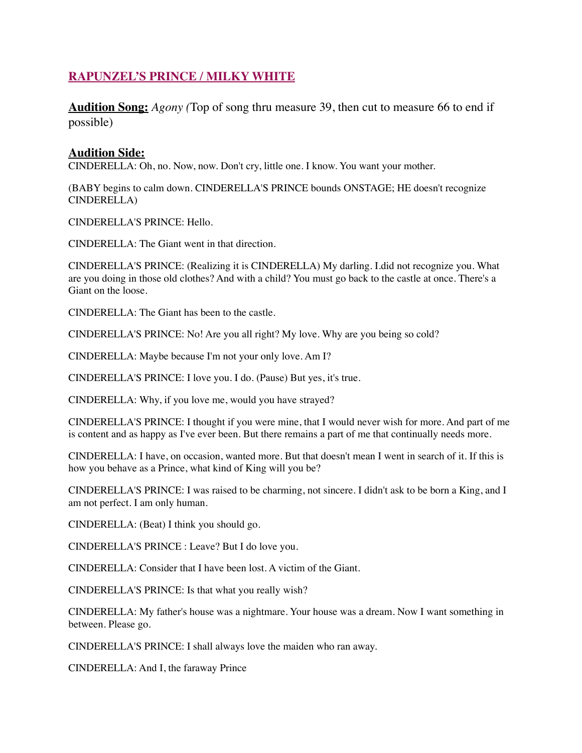## **RAPUNZEL'S PRINCE / MILKY WHITE**

**Audition Song:** *Agony (*Top of song thru measure 39, then cut to measure 66 to end if possible)

#### **Audition Side:**

CINDERELLA: Oh, no. Now, now. Don't cry, little one. I know. You want your mother.

(BABY begins to calm down. CINDERELLA'S PRINCE bounds ONSTAGE; HE doesn't recognize CINDERELLA)

CINDERELLA'S PRINCE: Hello.

CINDERELLA: The Giant went in that direction.

CINDERELLA'S PRINCE: (Realizing it is CINDERELLA) My darling. I.did not recognize you. What are you doing in those old clothes? And with a child? You must go back to the castle at once. There's a Giant on the loose.

CINDERELLA: The Giant has been to the castle.

CINDERELLA'S PRINCE: No! Are you all right? My love. Why are you being so cold?

CINDERELLA: Maybe because I'm not your only love. Am I?

CINDERELLA'S PRINCE: I love you. I do. (Pause) But yes, it's true.

CINDERELLA: Why, if you love me, would you have strayed?

CINDERELLA'S PRINCE: I thought if you were mine, that I would never wish for more. And part of me is content and as happy as I've ever been. But there remains a part of me that continually needs more.

CINDERELLA: I have, on occasion, wanted more. But that doesn't mean I went in search of it. If this is how you behave as a Prince, what kind of King will you be?

CINDERELLA'S PRINCE: I was raised to be charming, not sincere. I didn't ask to be born a King, and I am not perfect. I am only human.

CINDERELLA: (Beat) I think you should go.

CINDERELLA'S PRINCE : Leave? But I do love you.

CINDERELLA: Consider that I have been lost. A victim of the Giant.

CINDERELLA'S PRINCE: Is that what you really wish?

CINDERELLA: My father's house was a nightmare. Your house was a dream. Now I want something in between. Please go.

CINDERELLA'S PRINCE: I shall always love the maiden who ran away.

CINDERELLA: And I, the faraway Prince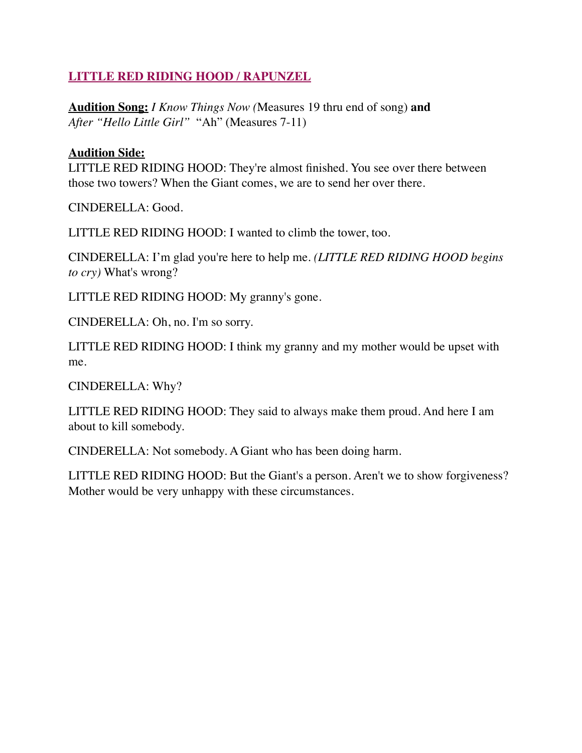## **LITTLE RED RIDING HOOD / RAPUNZEL**

**Audition Song:** *I Know Things Now (*Measures 19 thru end of song) **and**  *After "Hello Little Girl"* "Ah" (Measures 7-11)

#### **Audition Side:**

LITTLE RED RIDING HOOD: They're almost finished. You see over there between those two towers? When the Giant comes, we are to send her over there.

CINDERELLA: Good.

LITTLE RED RIDING HOOD: I wanted to climb the tower, too.

CINDERELLA: I'm glad you're here to help me. *(LITTLE RED RIDING HOOD begins to cry)* What's wrong?

LITTLE RED RIDING HOOD: My granny's gone.

CINDERELLA: Oh, no. I'm so sorry.

LITTLE RED RIDING HOOD: I think my granny and my mother would be upset with me.

CINDERELLA: Why?

LITTLE RED RIDING HOOD: They said to always make them proud. And here I am about to kill somebody.

CINDERELLA: Not somebody. A Giant who has been doing harm.

LITTLE RED RIDING HOOD: But the Giant's a person. Aren't we to show forgiveness? Mother would be very unhappy with these circumstances.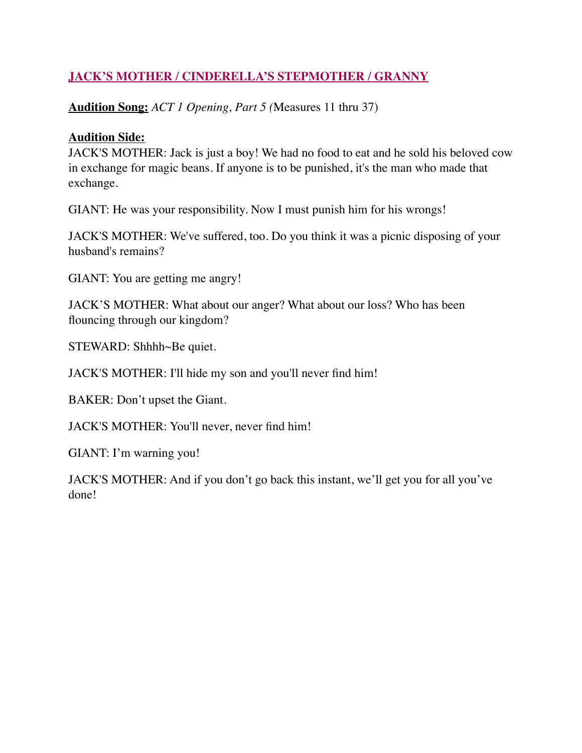# **JACK'S MOTHER / CINDERELLA'S STEPMOTHER / GRANNY**

**Audition Song:** *ACT 1 Opening, Part 5 (*Measures 11 thru 37)

## **Audition Side:**

JACK'S MOTHER: Jack is just a boy! We had no food to eat and he sold his beloved cow in exchange for magic beans. If anyone is to be punished, it's the man who made that exchange.

GIANT: He was your responsibility. Now I must punish him for his wrongs!

JACK'S MOTHER: We've suffered, too. Do you think it was a picnic disposing of your husband's remains?

GIANT: You are getting me angry!

JACK'S MOTHER: What about our anger? What about our loss? Who has been flouncing through our kingdom?

STEWARD: Shhhh~Be quiet.

JACK'S MOTHER: I'll hide my son and you'll never find him!

BAKER: Don't upset the Giant.

JACK'S MOTHER: You'll never, never find him!

GIANT: I'm warning you!

JACK'S MOTHER: And if you don't go back this instant, we'll get you for all you've done!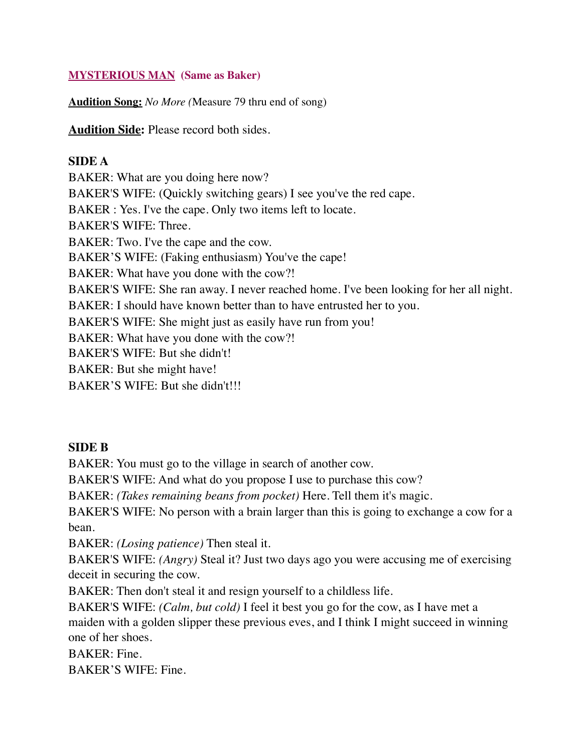#### **MYSTERIOUS MAN (Same as Baker)**

**Audition Song:** *No More (*Measure 79 thru end of song)

**Audition Side:** Please record both sides.

#### **SIDE A**

BAKER: What are you doing here now? BAKER'S WIFE: (Quickly switching gears) I see you've the red cape. BAKER : Yes. I've the cape. Only two items left to locate. BAKER'S WIFE: Three. BAKER: Two. I've the cape and the cow. BAKER'S WIFE: (Faking enthusiasm) You've the cape! BAKER: What have you done with the cow?! BAKER'S WIFE: She ran away. I never reached home. I've been looking for her all night. BAKER: I should have known better than to have entrusted her to you. BAKER'S WIFE: She might just as easily have run from you! BAKER: What have you done with the cow?! BAKER'S WIFE: But she didn't! BAKER: But she might have! BAKER'S WIFE: But she didn't!!!

#### **SIDE B**

BAKER: You must go to the village in search of another cow.

BAKER'S WIFE: And what do you propose I use to purchase this cow?

BAKER: *(Takes remaining beans from pocket)* Here. Tell them it's magic.

BAKER'S WIFE: No person with a brain larger than this is going to exchange a cow for a bean.

BAKER: *(Losing patience)* Then steal it.

BAKER'S WIFE: *(Angry)* Steal it? Just two days ago you were accusing me of exercising deceit in securing the cow.

BAKER: Then don't steal it and resign yourself to a childless life.

BAKER'S WIFE: *(Calm, but cold)* I feel it best you go for the cow, as I have met a maiden with a golden slipper these previous eves, and I think I might succeed in winning one of her shoes.

BAKER: Fine.

BAKER'S WIFE: Fine.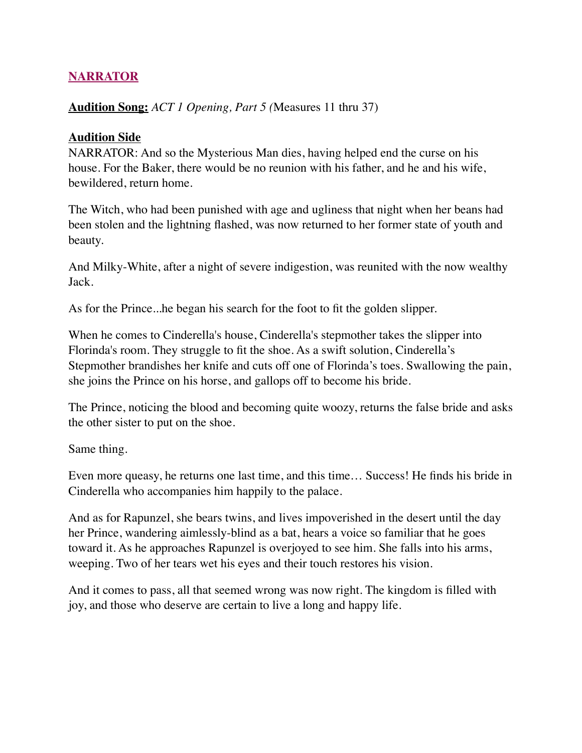## **NARRATOR**

#### **Audition Song:** *ACT 1 Opening, Part 5 (*Measures 11 thru 37)

#### **Audition Side**

NARRATOR: And so the Mysterious Man dies, having helped end the curse on his house. For the Baker, there would be no reunion with his father, and he and his wife, bewildered, return home.

The Witch, who had been punished with age and ugliness that night when her beans had been stolen and the lightning flashed, was now returned to her former state of youth and beauty.

And Milky-White, after a night of severe indigestion, was reunited with the now wealthy Jack.

As for the Prince...he began his search for the foot to fit the golden slipper.

When he comes to Cinderella's house, Cinderella's stepmother takes the slipper into Florinda's room. They struggle to fit the shoe. As a swift solution, Cinderella's Stepmother brandishes her knife and cuts off one of Florinda's toes. Swallowing the pain, she joins the Prince on his horse, and gallops off to become his bride.

The Prince, noticing the blood and becoming quite woozy, returns the false bride and asks the other sister to put on the shoe.

Same thing.

Even more queasy, he returns one last time, and this time… Success! He finds his bride in Cinderella who accompanies him happily to the palace.

And as for Rapunzel, she bears twins, and lives impoverished in the desert until the day her Prince, wandering aimlessly-blind as a bat, hears a voice so familiar that he goes toward it. As he approaches Rapunzel is overjoyed to see him. She falls into his arms, weeping. Two of her tears wet his eyes and their touch restores his vision.

And it comes to pass, all that seemed wrong was now right. The kingdom is filled with joy, and those who deserve are certain to live a long and happy life.